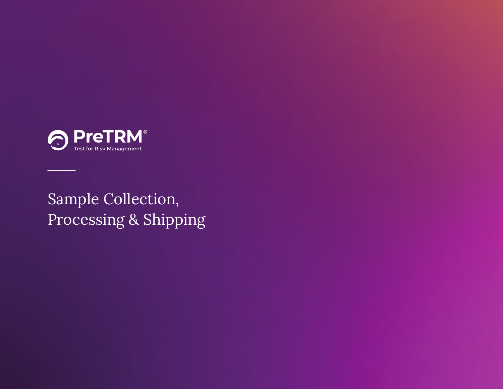

Sample Collection, Processing & Shipping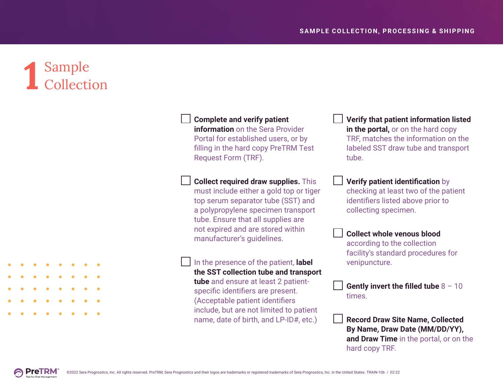## **1** Sample Collection



 **Complete and verify patient information** on the Sera Provider Portal for established users, or by filling in the hard copy PreTRM Test Request Form (TRF).

## **Collect required draw supplies.** This

must include either a gold top or tiger top serum separator tube (SST) and a polypropylene specimen transport tube. Ensure that all supplies are not expired and are stored within manufacturer's guidelines.

 In the presence of the patient, **label the SST collection tube and transport** 

**tube** and ensure at least 2 patientspecific identifiers are present. (Acceptable patient identifiers include, but are not limited to patient name, date of birth, and LP-ID#, etc.)

 **Verify that patient information listed in the portal,** or on the hard copy TRF, matches the information on the labeled SST draw tube and transport tube.

 **Verify patient identification** by checking at least two of the patient identifiers listed above prior to collecting specimen.

 **Collect whole venous blood** according to the collection facility's standard procedures for venipuncture.

 **Gently invert the filled tube** 8 – 10 times.

 **Record Draw Site Name, Collected By Name, Draw Date (MM/DD/YY), and Draw Time** in the portal, or on the hard copy TRF.

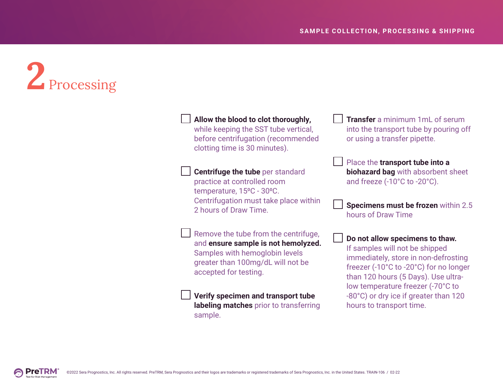# **2** Processing

 **Allow the blood to clot thoroughly,** while keeping the SST tube vertical, before centrifugation (recommended clotting time is 30 minutes). **Centrifuge the tube** per standard practice at controlled room temperature, 15°C - 30°C. Centrifugation must take place within 2 hours of Draw Time. Remove the tube from the centrifuge, and **ensure sample is not hemolyzed.**  Samples with hemoglobin levels greater than 100mg/dL will not be

 **Verify specimen and transport tube labeling matches** prior to transferring sample.

 **Transfer** a minimum 1mL of serum into the transport tube by pouring off or using a transfer pipette.

 Place the **transport tube into a biohazard bag** with absorbent sheet and freeze (-10°C to -20°C).

 **Specimens must be frozen** within 2.5 hours of Draw Time

#### **Do not allow specimens to thaw.**

If samples will not be shipped immediately, store in non-defrosting freezer (-10°C to -20°C) for no longer than 120 hours (5 Days). Use ultralow temperature freezer (-70°C to -80°C) or dry ice if greater than 120 hours to transport time.

accepted for testing.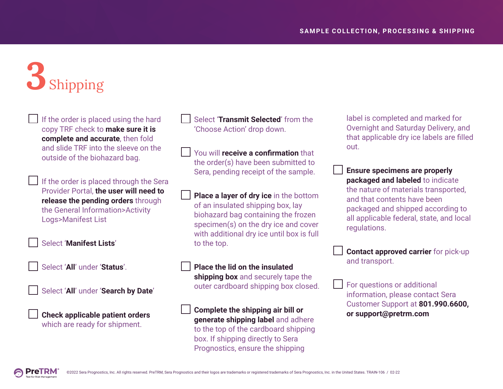## **3** Shipping

 If the order is placed using the hard copy TRF check to **make sure it is complete and accurate**, then fold and slide TRF into the sleeve on the outside of the biohazard bag.

 If the order is placed through the Sera Provider Portal, **the user will need to release the pending orders** through the General Information>Activity Logs>Manifest List

Select '**Manifest Lists**'

Select '**All**' under '**Status**'.



Select '**All**' under '**Search by Date**'

 **Check applicable patient orders** which are ready for shipment.

 Select '**Transmit Selected**' from the 'Choose Action' drop down.

 You will **receive a confirmation** that the order(s) have been submitted to Sera, pending receipt of the sample.

 **Place a layer of dry ice** in the bottom of an insulated shipping box, lay biohazard bag containing the frozen specimen(s) on the dry ice and cover with additional dry ice until box is full to the top.

**Place the lid on the insulated** 

**shipping box** and securely tape the outer cardboard shipping box closed.

 **Complete the shipping air bill or generate shipping label** and adhere to the top of the cardboard shipping box. If shipping directly to Sera Prognostics, ensure the shipping

label is completed and marked for Overnight and Saturday Delivery, and that applicable dry ice labels are filled out.

 **Ensure specimens are properly packaged and labeled** to indicate the nature of materials transported, and that contents have been packaged and shipped according to all applicable federal, state, and local regulations.

 **Contact approved carrier** for pick-up and transport.

 For questions or additional information, please contact Sera Customer Support at **801.990.6600, or support@pretrm.com**

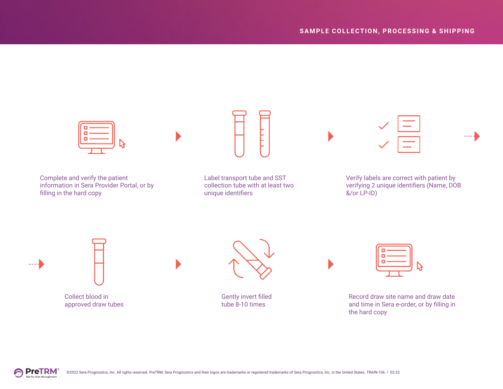



Collect blood in approved draw tubes



Gently invert filled tube 8-10 times

| Ξ<br>Ξ<br>Ξ |  |
|-------------|--|
|             |  |

Record draw site name and draw date and time in Sera e-order, or by filling in the hard copy